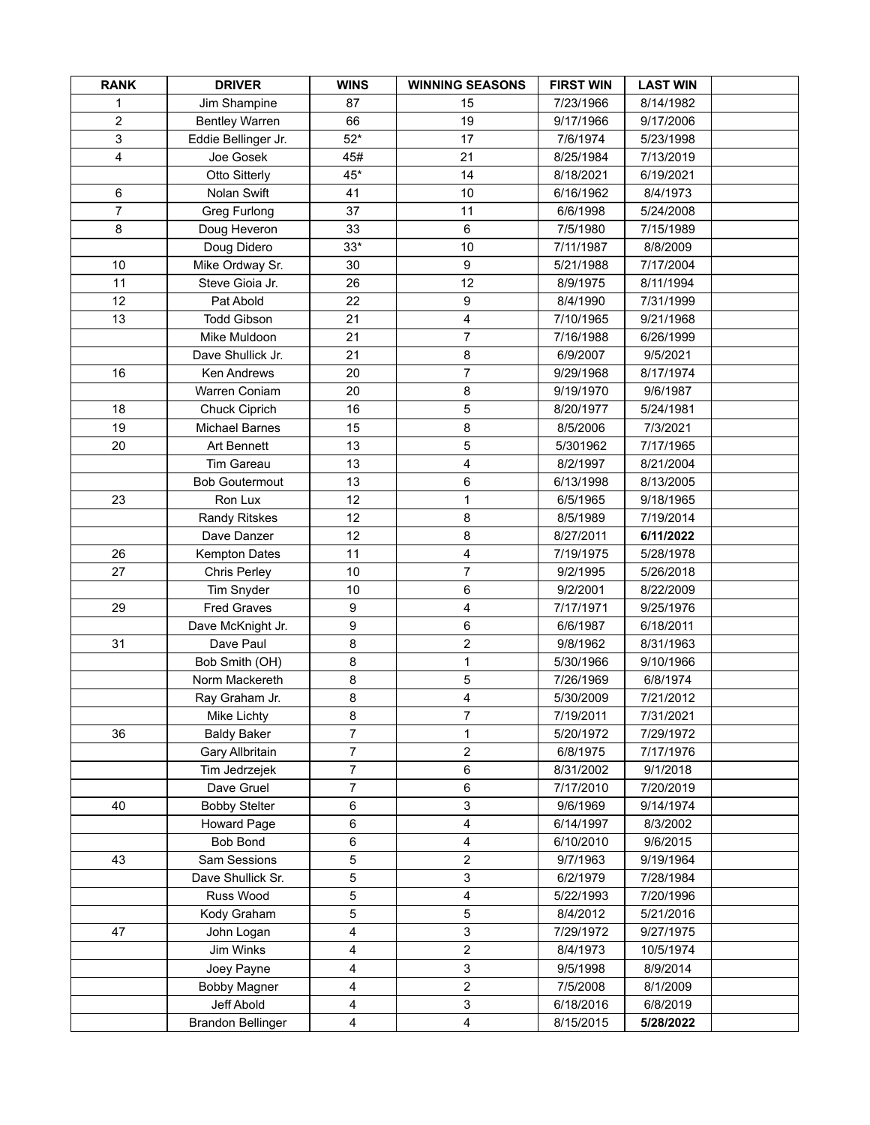| <b>RANK</b>    | <b>DRIVER</b>            | <b>WINS</b>    | <b>WINNING SEASONS</b> | <b>FIRST WIN</b> | <b>LAST WIN</b> |  |
|----------------|--------------------------|----------------|------------------------|------------------|-----------------|--|
| 1              | Jim Shampine             | 87             | 15                     | 7/23/1966        | 8/14/1982       |  |
| 2              | <b>Bentley Warren</b>    | 66             | 19                     | 9/17/1966        | 9/17/2006       |  |
| 3              | Eddie Bellinger Jr.      | $52*$          | 17                     | 7/6/1974         | 5/23/1998       |  |
| 4              | Joe Gosek                | 45#            | 21                     | 8/25/1984        | 7/13/2019       |  |
|                | Otto Sitterly            | $45*$          | 14                     | 8/18/2021        | 6/19/2021       |  |
| 6              | Nolan Swift              | 41             | 10                     | 6/16/1962        | 8/4/1973        |  |
| $\overline{7}$ | Greg Furlong             | 37             | 11                     | 6/6/1998         | 5/24/2008       |  |
| 8              | Doug Heveron             | 33             | 6                      | 7/5/1980         | 7/15/1989       |  |
|                | Doug Didero              | $33*$          | 10                     | 7/11/1987        | 8/8/2009        |  |
| 10             | Mike Ordway Sr.          | 30             | 9                      | 5/21/1988        | 7/17/2004       |  |
| 11             | Steve Gioia Jr.          | 26             | 12                     | 8/9/1975         | 8/11/1994       |  |
| 12             | Pat Abold                | 22             | 9                      | 8/4/1990         | 7/31/1999       |  |
| 13             | <b>Todd Gibson</b>       | 21             | 4                      | 7/10/1965        | 9/21/1968       |  |
|                | Mike Muldoon             | 21             | 7                      | 7/16/1988        | 6/26/1999       |  |
|                | Dave Shullick Jr.        | 21             | 8                      | 6/9/2007         | 9/5/2021        |  |
| 16             | Ken Andrews              | 20             | $\overline{7}$         | 9/29/1968        | 8/17/1974       |  |
|                | Warren Coniam            | 20             | $\bf8$                 | 9/19/1970        | 9/6/1987        |  |
| 18             | Chuck Ciprich            | 16             | 5                      | 8/20/1977        | 5/24/1981       |  |
| 19             | <b>Michael Barnes</b>    | 15             | 8                      | 8/5/2006         | 7/3/2021        |  |
| 20             | Art Bennett              | 13             | 5                      | 5/301962         | 7/17/1965       |  |
|                | <b>Tim Gareau</b>        | 13             | 4                      | 8/2/1997         | 8/21/2004       |  |
|                | <b>Bob Goutermout</b>    | 13             | 6                      | 6/13/1998        | 8/13/2005       |  |
| 23             | Ron Lux                  | 12             | 1                      | 6/5/1965         | 9/18/1965       |  |
|                | <b>Randy Ritskes</b>     | 12             | 8                      | 8/5/1989         | 7/19/2014       |  |
|                | Dave Danzer              | 12             | 8                      | 8/27/2011        | 6/11/2022       |  |
| 26             | <b>Kempton Dates</b>     | 11             | 4                      | 7/19/1975        | 5/28/1978       |  |
| 27             | Chris Perley             | 10             | 7                      | 9/2/1995         | 5/26/2018       |  |
|                | Tim Snyder               | 10             | 6                      | 9/2/2001         | 8/22/2009       |  |
| 29             | <b>Fred Graves</b>       | 9              | 4                      | 7/17/1971        | 9/25/1976       |  |
|                | Dave McKnight Jr.        | 9              | 6                      | 6/6/1987         | 6/18/2011       |  |
| 31             | Dave Paul                | 8              | $\overline{c}$         | 9/8/1962         | 8/31/1963       |  |
|                | Bob Smith (OH)           | 8              | 1                      | 5/30/1966        | 9/10/1966       |  |
|                | Norm Mackereth           | 8              | 5                      | 7/26/1969        | 6/8/1974        |  |
|                | Ray Graham Jr.           | 8              | 4                      | 5/30/2009        | 7/21/2012       |  |
|                | Mike Lichty              | 8              | 7                      | 7/19/2011        | 7/31/2021       |  |
| 36             | <b>Baldy Baker</b>       | 7              | 1                      | 5/20/1972        | 7/29/1972       |  |
|                | Gary Allbritain          | 7              | 2                      | 6/8/1975         | 7/17/1976       |  |
|                | Tim Jedrzejek            | $\overline{7}$ | 6                      | 8/31/2002        | 9/1/2018        |  |
|                | Dave Gruel               | $\overline{7}$ | 6                      | 7/17/2010        | 7/20/2019       |  |
| 40             | <b>Bobby Stelter</b>     | 6              | 3                      | 9/6/1969         | 9/14/1974       |  |
|                | Howard Page              | 6              | 4                      | 6/14/1997        | 8/3/2002        |  |
|                | <b>Bob Bond</b>          | 6              | 4                      | 6/10/2010        | 9/6/2015        |  |
| 43             | Sam Sessions             | 5              | 2                      | 9/7/1963         | 9/19/1964       |  |
|                | Dave Shullick Sr.        | 5              | 3                      | 6/2/1979         | 7/28/1984       |  |
|                | Russ Wood                | 5              | 4                      | 5/22/1993        | 7/20/1996       |  |
|                | Kody Graham              | 5              | 5                      | 8/4/2012         | 5/21/2016       |  |
| 47             | John Logan               | 4              | 3                      | 7/29/1972        | 9/27/1975       |  |
|                | Jim Winks                | 4              | 2                      | 8/4/1973         | 10/5/1974       |  |
|                | Joey Payne               | 4              | 3                      | 9/5/1998         | 8/9/2014        |  |
|                | <b>Bobby Magner</b>      | 4              | 2                      | 7/5/2008         | 8/1/2009        |  |
|                | Jeff Abold               | 4              | 3                      | 6/18/2016        | 6/8/2019        |  |
|                | <b>Brandon Bellinger</b> | 4              | 4                      | 8/15/2015        | 5/28/2022       |  |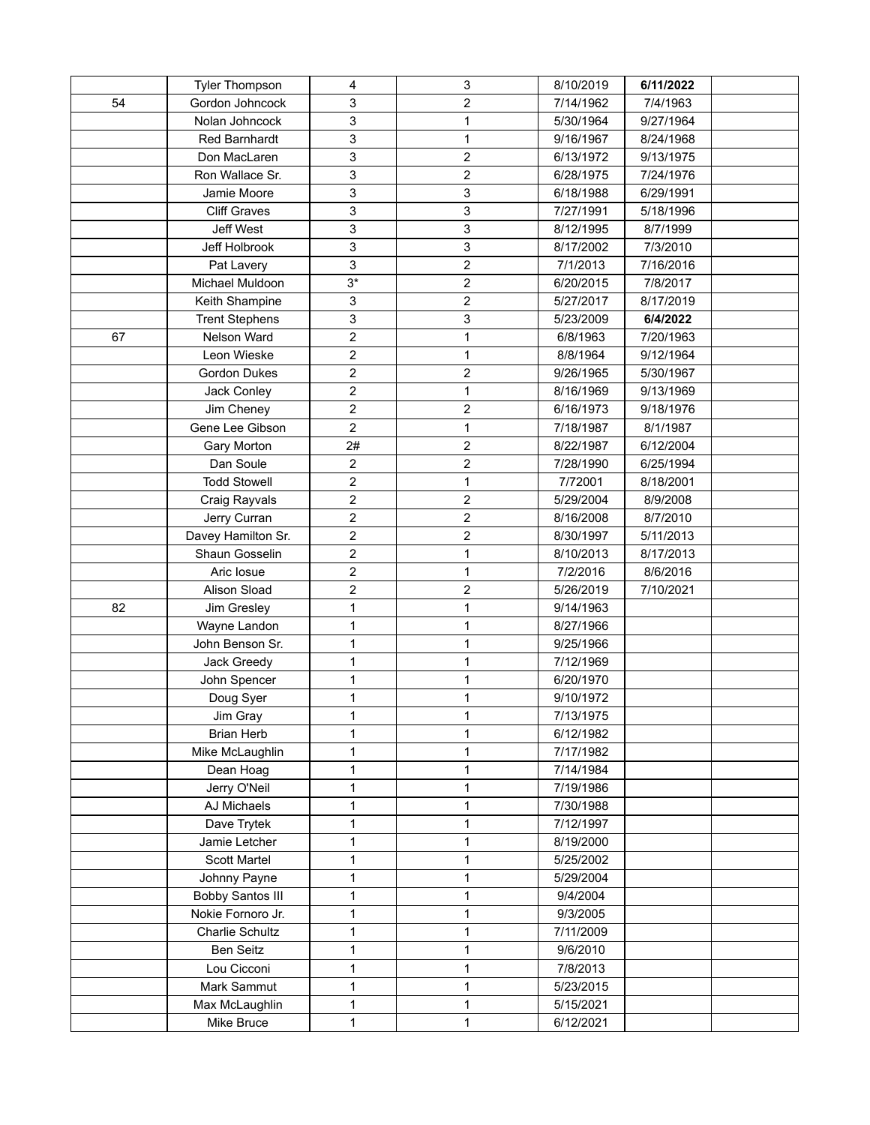|    | <b>Tyler Thompson</b>   | 4              | 3                | 8/10/2019 | 6/11/2022 |  |
|----|-------------------------|----------------|------------------|-----------|-----------|--|
| 54 | Gordon Johncock         | 3              | $\boldsymbol{2}$ | 7/14/1962 | 7/4/1963  |  |
|    | Nolan Johncock          | 3              | $\mathbf{1}$     | 5/30/1964 | 9/27/1964 |  |
|    | Red Barnhardt           | 3              | 1                | 9/16/1967 | 8/24/1968 |  |
|    | Don MacLaren            | 3              | $\overline{c}$   | 6/13/1972 | 9/13/1975 |  |
|    | Ron Wallace Sr.         | 3              | $\overline{c}$   | 6/28/1975 | 7/24/1976 |  |
|    | Jamie Moore             | 3              | 3                | 6/18/1988 | 6/29/1991 |  |
|    | <b>Cliff Graves</b>     | 3              | $\mathfrak{S}$   | 7/27/1991 | 5/18/1996 |  |
|    | <b>Jeff West</b>        | 3              | 3                | 8/12/1995 | 8/7/1999  |  |
|    | Jeff Holbrook           | 3              | $\mathsf 3$      | 8/17/2002 | 7/3/2010  |  |
|    | Pat Lavery              | 3              | $\boldsymbol{2}$ | 7/1/2013  | 7/16/2016 |  |
|    | Michael Muldoon         | $3*$           | $\overline{c}$   | 6/20/2015 | 7/8/2017  |  |
|    | Keith Shampine          | 3              | $\overline{c}$   | 5/27/2017 | 8/17/2019 |  |
|    | <b>Trent Stephens</b>   | 3              | 3                | 5/23/2009 | 6/4/2022  |  |
| 67 | Nelson Ward             | $\overline{c}$ | $\mathbf{1}$     | 6/8/1963  | 7/20/1963 |  |
|    | Leon Wieske             | $\overline{c}$ | $\mathbf{1}$     | 8/8/1964  | 9/12/1964 |  |
|    | Gordon Dukes            | $\overline{2}$ | $\overline{c}$   | 9/26/1965 | 5/30/1967 |  |
|    | Jack Conley             | $\overline{c}$ | $\mathbf{1}$     | 8/16/1969 | 9/13/1969 |  |
|    | Jim Cheney              | $\overline{2}$ | $\boldsymbol{2}$ | 6/16/1973 | 9/18/1976 |  |
|    | Gene Lee Gibson         | $\overline{2}$ | $\mathbf{1}$     | 7/18/1987 | 8/1/1987  |  |
|    | Gary Morton             | 2#             | $\overline{c}$   | 8/22/1987 | 6/12/2004 |  |
|    | Dan Soule               | $\overline{2}$ | $\overline{c}$   | 7/28/1990 | 6/25/1994 |  |
|    | <b>Todd Stowell</b>     | $\overline{c}$ | $\mathbf{1}$     | 7/72001   | 8/18/2001 |  |
|    | Craig Rayvals           | $\overline{c}$ | $\boldsymbol{2}$ | 5/29/2004 | 8/9/2008  |  |
|    | Jerry Curran            | $\overline{c}$ | $\overline{c}$   | 8/16/2008 | 8/7/2010  |  |
|    | Davey Hamilton Sr.      | $\overline{2}$ | $\overline{c}$   | 8/30/1997 | 5/11/2013 |  |
|    | Shaun Gosselin          | $\overline{c}$ | $\mathbf{1}$     | 8/10/2013 | 8/17/2013 |  |
|    | Aric Iosue              | $\sqrt{2}$     | 1                | 7/2/2016  | 8/6/2016  |  |
|    | Alison Sload            | $\sqrt{2}$     | $\overline{c}$   | 5/26/2019 | 7/10/2021 |  |
| 82 | Jim Gresley             | 1              | $\mathbf{1}$     | 9/14/1963 |           |  |
|    | Wayne Landon            | 1              | $\mathbf{1}$     | 8/27/1966 |           |  |
|    | John Benson Sr.         | 1              | $\mathbf{1}$     | 9/25/1966 |           |  |
|    | Jack Greedy             | 1              | $\mathbf{1}$     | 7/12/1969 |           |  |
|    | John Spencer            | 1              | $\mathbf{1}$     | 6/20/1970 |           |  |
|    | Doug Syer               | 1              | $\mathbf{1}$     | 9/10/1972 |           |  |
|    | Jim Gray                | 1              | 1                | 7/13/1975 |           |  |
|    | <b>Brian Herb</b>       | 1              | 1                | 6/12/1982 |           |  |
|    | Mike McLaughlin         | 1              | 1                | 7/17/1982 |           |  |
|    | Dean Hoag               | 1              | 1                | 7/14/1984 |           |  |
|    | Jerry O'Neil            | 1              | 1                | 7/19/1986 |           |  |
|    | AJ Michaels             | 1              | 1                | 7/30/1988 |           |  |
|    | Dave Trytek             | 1              | 1                | 7/12/1997 |           |  |
|    | Jamie Letcher           | 1              | 1                | 8/19/2000 |           |  |
|    | <b>Scott Martel</b>     | 1              | 1                | 5/25/2002 |           |  |
|    | Johnny Payne            | 1              | $\mathbf{1}$     | 5/29/2004 |           |  |
|    | <b>Bobby Santos III</b> | 1              | 1                | 9/4/2004  |           |  |
|    | Nokie Fornoro Jr.       | 1              | $\mathbf{1}$     | 9/3/2005  |           |  |
|    | Charlie Schultz         | 1              | 1                | 7/11/2009 |           |  |
|    | <b>Ben Seitz</b>        | 1              | 1                | 9/6/2010  |           |  |
|    | Lou Cicconi             | 1              | 1                | 7/8/2013  |           |  |
|    | Mark Sammut             | 1              | 1                | 5/23/2015 |           |  |
|    | Max McLaughlin          | 1              | 1                | 5/15/2021 |           |  |
|    | Mike Bruce              | 1              | $\mathbf{1}$     | 6/12/2021 |           |  |